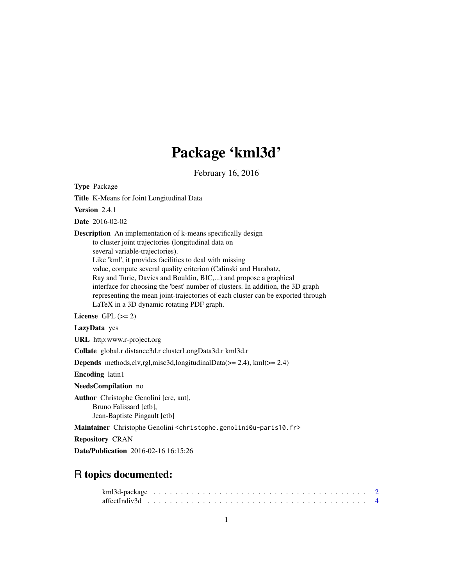# Package 'kml3d'

February 16, 2016

<span id="page-0-0"></span>Type Package

Title K-Means for Joint Longitudinal Data

Version 2.4.1

Date 2016-02-02

Description An implementation of k-means specifically design to cluster joint trajectories (longitudinal data on several variable-trajectories). Like 'kml', it provides facilities to deal with missing value, compute several quality criterion (Calinski and Harabatz, Ray and Turie, Davies and Bouldin, BIC,...) and propose a graphical interface for choosing the 'best' number of clusters. In addition, the 3D graph representing the mean joint-trajectories of each cluster can be exported through LaTeX in a 3D dynamic rotating PDF graph.

License GPL  $(>= 2)$ 

LazyData yes

URL http:www.r-project.org

Collate global.r distance3d.r clusterLongData3d.r kml3d.r

Depends methods,clv,rgl,misc3d,longitudinalData(>= 2.4), kml(>= 2.4)

Encoding latin1

NeedsCompilation no

Author Christophe Genolini [cre, aut], Bruno Falissard [ctb], Jean-Baptiste Pingault [ctb]

Maintainer Christophe Genolini <christophe.genolini@u-paris10.fr>

Repository CRAN

Date/Publication 2016-02-16 16:15:26

# R topics documented: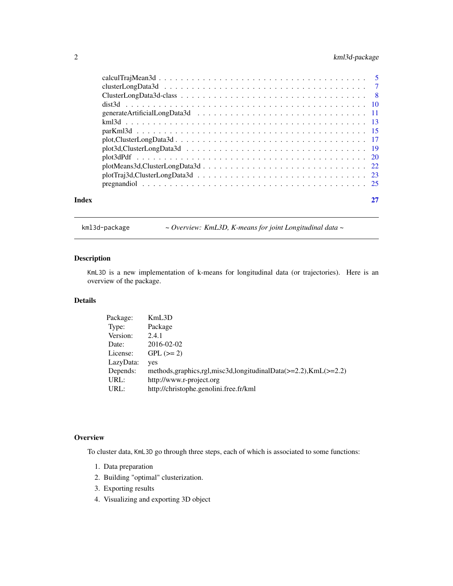# <span id="page-1-0"></span>2 kml3d-package

|       | $plotTraj3d, ClusterLongData3d \dots \dots \dots \dots \dots \dots \dots \dots \dots \dots \dots \dots \dots \dots \dots \dots \dots$ |  |
|-------|---------------------------------------------------------------------------------------------------------------------------------------|--|
|       |                                                                                                                                       |  |
| Index |                                                                                                                                       |  |
|       |                                                                                                                                       |  |

<span id="page-1-1"></span>kml3d-package *~ Overview: KmL3D, K-means for joint Longitudinal data ~*

# Description

KmL3D is a new implementation of k-means for longitudinal data (or trajectories). Here is an overview of the package.

# Details

| Package:  | KmL3D                                                                       |
|-----------|-----------------------------------------------------------------------------|
| Type:     | Package                                                                     |
| Version:  | 2.4.1                                                                       |
| Date:     | 2016-02-02                                                                  |
| License:  | $GPL (=2)$                                                                  |
| LazyData: | yes                                                                         |
| Depends:  | methods, graphics, rgl, misc3d, longitudinal Data $(>=2.2)$ , KmL $(>=2.2)$ |
| URL:      | http://www.r-project.org                                                    |
| URL:      | http://christophe.genolini.free.fr/kml                                      |
|           |                                                                             |

# **Overview**

To cluster data, KmL3D go through three steps, each of which is associated to some functions:

- 1. Data preparation
- 2. Building "optimal" clusterization.
- 3. Exporting results
- 4. Visualizing and exporting 3D object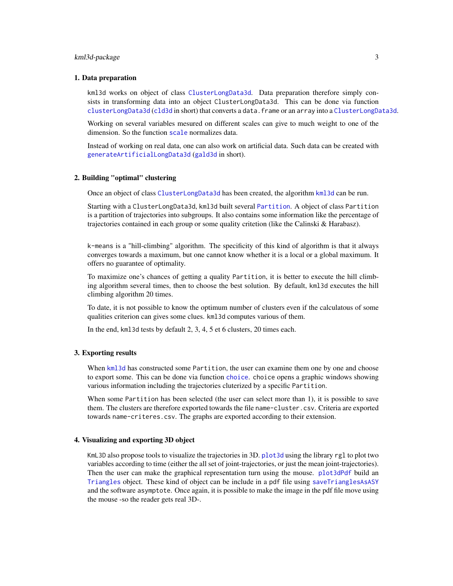# <span id="page-2-0"></span>kml3d-package 3

#### 1. Data preparation

kml3d works on object of class [ClusterLongData3d](#page-7-1). Data preparation therefore simply consists in transforming data into an object ClusterLongData3d. This can be done via function [clusterLongData3d](#page-6-1) ([cld3d](#page-6-1) in short) that converts a data.frame or an array into a [ClusterLongData3d](#page-7-1).

Working on several variables mesured on different scales can give to much weight to one of the dimension. So the function [scale](#page-0-0) normalizes data.

Instead of working on real data, one can also work on artificial data. Such data can be created with [generateArtificialLongData3d](#page-10-1) ([gald3d](#page-10-2) in short).

#### 2. Building "optimal" clustering

Once an object of class [ClusterLongData3d](#page-7-1) has been created, the algorithm [kml3d](#page-12-1) can be run.

Starting with a ClusterLongData3d, kml3d built several [Partition](#page-0-0). A object of class Partition is a partition of trajectories into subgroups. It also contains some information like the percentage of trajectories contained in each group or some quality critetion (like the Calinski & Harabasz).

k-means is a "hill-climbing" algorithm. The specificity of this kind of algorithm is that it always converges towards a maximum, but one cannot know whether it is a local or a global maximum. It offers no guarantee of optimality.

To maximize one's chances of getting a quality Partition, it is better to execute the hill climbing algorithm several times, then to choose the best solution. By default, kml3d executes the hill climbing algorithm 20 times.

To date, it is not possible to know the optimum number of clusters even if the calculatous of some qualities criterion can gives some clues. kml3d computes various of them.

In the end, kml3d tests by default 2, 3, 4, 5 et 6 clusters, 20 times each.

#### 3. Exporting results

When [kml3d](#page-12-1) has constructed some Partition, the user can examine them one by one and choose to export some. This can be done via function [choice](#page-0-0). choice opens a graphic windows showing various information including the trajectories cluterized by a specific Partition.

When some Partition has been selected (the user can select more than 1), it is possible to save them. The clusters are therefore exported towards the file name-cluster.csv. Criteria are exported towards name-criteres.csv. The graphs are exported according to their extension.

# 4. Visualizing and exporting 3D object

KmL3D also propose tools to visualize the trajectories in 3D. [plot3d](#page-18-1) using the library rgl to plot two variables according to time (either the all set of joint-trajectories, or just the mean joint-trajectories). Then the user can make the graphical representation turn using the mouse. [plot3dPdf](#page-19-1) build an [Triangles](#page-0-0) object. These kind of object can be include in a pdf file using [saveTrianglesAsASY](#page-0-0) and the software asymptote. Once again, it is possible to make the image in the pdf file move using the mouse -so the reader gets real 3D-.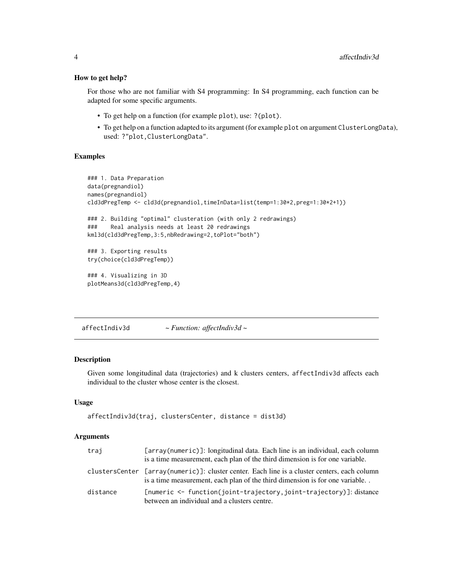#### How to get help?

For those who are not familiar with S4 programming: In S4 programming, each function can be adapted for some specific arguments.

- To get help on a function (for example plot), use: ?(plot).
- To get help on a function adapted to its argument (for example plot on argument ClusterLongData), used: ?"plot,ClusterLongData".

# Examples

```
### 1. Data Preparation
data(pregnandiol)
names(pregnandiol)
cld3dPregTemp <- cld3d(pregnandiol,timeInData=list(temp=1:30*2,preg=1:30*2+1))
### 2. Building "optimal" clusteration (with only 2 redrawings)
### Real analysis needs at least 20 redrawings
kml3d(cld3dPregTemp,3:5,nbRedrawing=2,toPlot="both")
### 3. Exporting results
try(choice(cld3dPregTemp))
### 4. Visualizing in 3D
plotMeans3d(cld3dPregTemp,4)
```
affectIndiv3d *~ Function: affectIndiv3d ~*

#### Description

Given some longitudinal data (trajectories) and k clusters centers, affectIndiv3d affects each individual to the cluster whose center is the closest.

#### Usage

```
affectIndiv3d(traj, clustersCenter, distance = dist3d)
```
#### Arguments

| trai     | [array(numeric)]: longitudinal data. Each line is an individual, each column<br>is a time measurement, each plan of the third dimension is for one variable.                |
|----------|-----------------------------------------------------------------------------------------------------------------------------------------------------------------------------|
|          | clustersCenter [array(numeric)]: cluster center. Each line is a cluster centers, each column<br>is a time measurement, each plan of the third dimension is for one variable |
| distance | $[numeric < - function(ioint-trajector, joint-trajector)$ : distance<br>between an individual and a clusters centre.                                                        |

<span id="page-3-0"></span>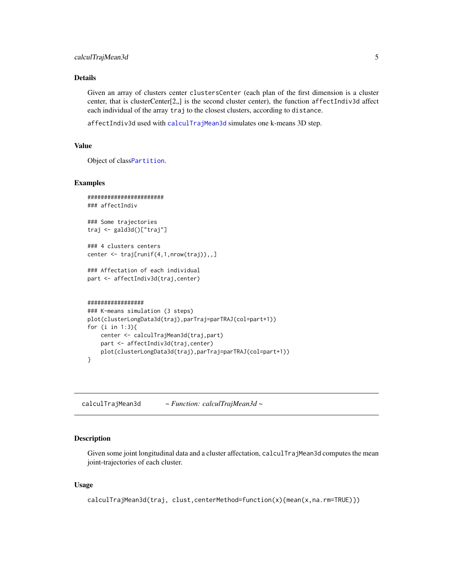# <span id="page-4-0"></span>Details

Given an array of clusters center clustersCenter (each plan of the first dimension is a cluster center, that is clusterCenter[2,,] is the second cluster center), the function affectIndiv3d affect each individual of the array traj to the closest clusters, according to distance.

affectIndiv3d used with [calculTrajMean3d](#page-4-1) simulates one k-means 3D step.

# Value

Object of class[Partition](#page-0-0).

#### Examples

```
#######################
### affectIndiv
### Some trajectories
traj <- gald3d()["traj"]
### 4 clusters centers
center <- traj[runif(4,1,nrow(traj)),,]
### Affectation of each individual
part <- affectIndiv3d(traj,center)
#################
### K-means simulation (3 steps)
plot(clusterLongData3d(traj),parTraj=parTRAJ(col=part+1))
for (i in 1:3){
   center <- calculTrajMean3d(traj,part)
   part <- affectIndiv3d(traj,center)
   plot(clusterLongData3d(traj),parTraj=parTRAJ(col=part+1))
}
```
<span id="page-4-1"></span>calculTrajMean3d *~ Function: calculTrajMean3d ~*

# Description

Given some joint longitudinal data and a cluster affectation, calculTrajMean3d computes the mean joint-trajectories of each cluster.

#### Usage

```
calculTrajMean3d(traj, clust,centerMethod=function(x){mean(x,na.rm=TRUE)})
```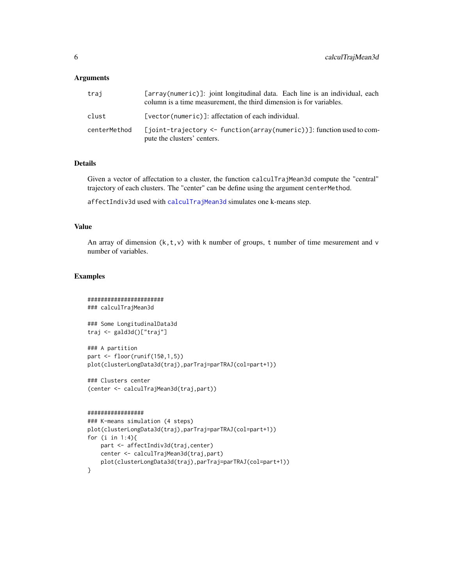# <span id="page-5-0"></span>**Arguments**

| trai         | [array(numeric)]: joint longitudinal data. Each line is an individual, each<br>column is a time measurement, the third dimension is for variables. |
|--------------|----------------------------------------------------------------------------------------------------------------------------------------------------|
| clust        | [vector(numeric)]: affectation of each individual.                                                                                                 |
| centerMethod | [joint-trajectory <- function(array(numeric))]: function used to com-<br>pute the clusters' centers.                                               |

# Details

Given a vector of affectation to a cluster, the function calculTrajMean3d compute the "central" trajectory of each clusters. The "center" can be define using the argument centerMethod.

affectIndiv3d used with [calculTrajMean3d](#page-4-1) simulates one k-means step.

#### Value

An array of dimension  $(k, t, v)$  with k number of groups, t number of time mesurement and v number of variables.

# Examples

```
#######################
### calculTrajMean3d
### Some LongitudinalData3d
traj <- gald3d()["traj"]
### A partition
part <- floor(runif(150,1,5))
plot(clusterLongData3d(traj),parTraj=parTRAJ(col=part+1))
### Clusters center
(center <- calculTrajMean3d(traj,part))
#################
### K-means simulation (4 steps)
plot(clusterLongData3d(traj),parTraj=parTRAJ(col=part+1))
for (i in 1:4){
   part <- affectIndiv3d(traj,center)
   center <- calculTrajMean3d(traj,part)
```

```
plot(clusterLongData3d(traj),parTraj=parTRAJ(col=part+1))
```

```
}
```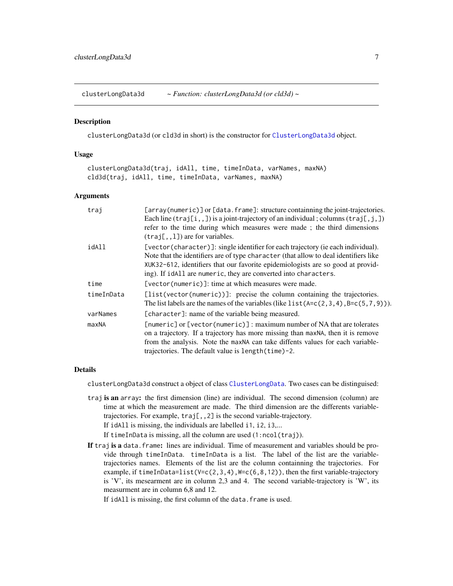<span id="page-6-1"></span><span id="page-6-0"></span>clusterLongData3d *~ Function: clusterLongData3d (or cld3d) ~*

# **Description**

clusterLongData3d (or cld3d in short) is the constructor for [ClusterLongData3d](#page-7-1) object.

# Usage

clusterLongData3d(traj, idAll, time, timeInData, varNames, maxNA) cld3d(traj, idAll, time, timeInData, varNames, maxNA)

#### Arguments

| traj       | [array(numeric)] or [data.frame]: structure containning the joint-trajectories.<br>Each line $(\text{traj}[i, 1])$ is a joint-trajectory of an individual; columns $(\text{traj}[i, j])$                                                                                                                                       |
|------------|--------------------------------------------------------------------------------------------------------------------------------------------------------------------------------------------------------------------------------------------------------------------------------------------------------------------------------|
|            | refer to the time during which measures were made; the third dimensions<br>$(traj[, 1])$ are for variables.                                                                                                                                                                                                                    |
| idAll      | [vector(character)]: single identifier for each trajectory (ie each individual).<br>Note that the identifiers are of type character (that allow to deal identifiers like<br>XUK32-612, identifiers that our favorite epidemiologists are so good at provid-<br>ing). If idAll are numeric, they are converted into characters. |
| time       | [vector(numeric)]: time at which measures were made.                                                                                                                                                                                                                                                                           |
| timeInData | [list(vector(numeric))]: precise the column containing the trajectories.<br>The list labels are the names of the variables (like $list(A = c(2, 3, 4), B = c(5, 7, 9))$ ).                                                                                                                                                     |
| varNames   | [character]: name of the variable being measured.                                                                                                                                                                                                                                                                              |
| maxNA      | [numeric] or [vector(numeric)]: maximum number of NA that are tolerates<br>on a trajectory. If a trajectory has more missing than maxNA, then it is remove<br>from the analysis. Note the maxNA can take diffents values for each variable-<br>trajectories. The default value is length (time) -2.                            |

# Details

clusterLongData3d construct a object of class [ClusterLongData](#page-0-0). Two cases can be distinguised:

traj is an array: the first dimension (line) are individual. The second dimension (column) are time at which the measurement are made. The third dimension are the differents variabletrajectories. For example, traj[,,2] is the second variable-trajectory. If idAll is missing, the individuals are labelled i1, i2, i3,...

If timeInData is missing, all the column are used (1:ncol(traj)).

If traj is a data. frame: lines are individual. Time of measurement and variables should be provide through timeInData. timeInData is a list. The label of the list are the variabletrajectories names. Elements of the list are the column containning the trajectories. For example, if timeInData=list( $V=c(2,3,4)$ ,  $W=c(6,8,12)$ ), then the first variable-trajectory is 'V', its mesearment are in column 2,3 and 4. The second variable-trajectory is 'W', its measurment are in column 6,8 and 12.

If idAll is missing, the first column of the data. frame is used.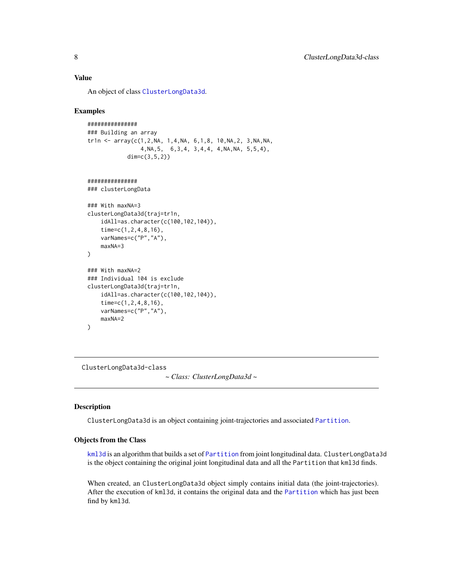# <span id="page-7-0"></span>Value

An object of class [ClusterLongData3d](#page-7-1).

# Examples

```
###############
### Building an array
tr1n <- array(c(1, 2, NA, 1, 4, NA, 6, 1, 8, 10, NA, 2, 3, NA, NA,4,NA,5, 6,3,4, 3,4,4, 4,NA,NA, 5,5,4),
            dim=c(3,5,2))
```

```
###############
```

```
### clusterLongData
```

```
### With maxNA=3
clusterLongData3d(traj=tr1n,
    idAll=as.character(c(100,102,104)),
    time=c(1,2,4,8,16),
    varNames=c("P","A"),
    maxNA=3
)
### With maxNA=2
### Individual 104 is exclude
clusterLongData3d(traj=tr1n,
    idAll=as.character(c(100,102,104)),
    time=c(1,2,4,8,16),
   varNames=c("P","A"),
   maxNA=2
```

```
\lambda
```
<span id="page-7-1"></span>ClusterLongData3d-class *~ Class: ClusterLongData3d ~*

# Description

ClusterLongData3d is an object containing joint-trajectories and associated [Partition](#page-0-0).

# Objects from the Class

[kml3d](#page-12-1) is an algorithm that builds a set of [Partition](#page-0-0) from joint longitudinal data. ClusterLongData3d is the object containing the original joint longitudinal data and all the Partition that kml3d finds.

When created, an ClusterLongData3d object simply contains initial data (the joint-trajectories). After the execution of kml3d, it contains the original data and the [Partition](#page-0-0) which has just been find by kml3d.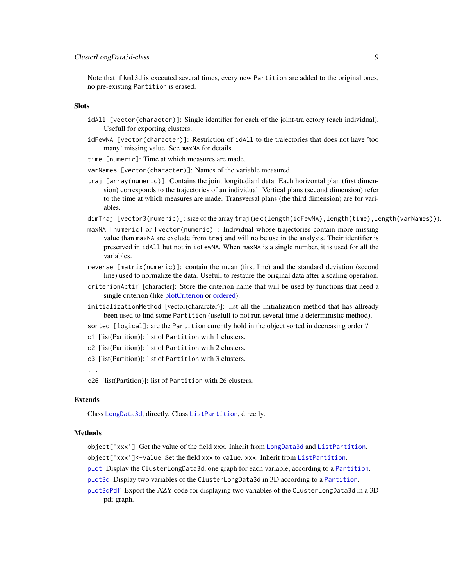<span id="page-8-0"></span>Note that if kml3d is executed several times, every new Partition are added to the original ones, no pre-existing Partition is erased.

# **Slots**

- idAll [vector(character)]: Single identifier for each of the joint-trajectory (each individual). Usefull for exporting clusters.
- idFewNA [vector(character)]: Restriction of idAll to the trajectories that does not have 'too many' missing value. See maxNA for details.
- time [numeric]: Time at which measures are made.
- varNames [vector(character)]: Names of the variable measured.
- traj [array(numeric)]: Contains the joint longitudianl data. Each horizontal plan (first dimension) corresponds to the trajectories of an individual. Vertical plans (second dimension) refer to the time at which measures are made. Transversal plans (the third dimension) are for variables.
- dimTraj [vector3(numeric)]: size of the array traj (ie c(length(idFewNA),length(time),length(varNames))).
- maxNA [numeric] or [vector(numeric)]: Individual whose trajectories contain more missing value than maxNA are exclude from traj and will no be use in the analysis. Their identifier is preserved in idAll but not in idFewNA. When maxNA is a single number, it is used for all the variables.
- reverse [matrix(numeric)]: contain the mean (first line) and the standard deviation (second line) used to normalize the data. Usefull to restaure the original data after a scaling operation.
- criterionActif [character]: Store the criterion name that will be used by functions that need a single criterion (like [plotCriterion](#page-0-0) or [ordered\)](#page-0-0).
- initializationMethod [vector(chararcter)]: list all the initialization method that has allready been used to find some Partition (usefull to not run several time a deterministic method).
- sorted [logical]: are the Partition curently hold in the object sorted in decreasing order ?
- c1 [list(Partition)]: list of Partition with 1 clusters.
- c2 [list(Partition)]: list of Partition with 2 clusters.
- c3 [list(Partition)]: list of Partition with 3 clusters.

...

c26 [list(Partition)]: list of Partition with 26 clusters.

#### Extends

Class [LongData3d](#page-0-0), directly. Class [ListPartition](#page-0-0), directly.

#### Methods

- object['xxx'] Get the value of the field xxx. Inherit from [LongData3d](#page-0-0) and [ListPartition](#page-0-0).
- object['xxx']<-value Set the field xxx to value. xxx. Inherit from [ListPartition](#page-0-0).
- [plot](#page-16-1) Display the ClusterLongData3d, one graph for each variable, according to a [Partition](#page-0-0).
- [plot3d](#page-18-1) Display two variables of the ClusterLongData3d in 3D according to a [Partition](#page-0-0).
- [plot3dPdf](#page-19-1) Export the AZY code for displaying two variables of the ClusterLongData3d in a 3D pdf graph.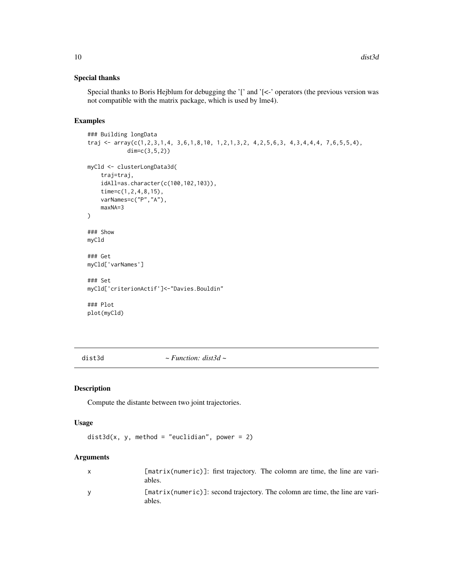# Special thanks

Special thanks to Boris Hejblum for debugging the '[' and '[<-' operators (the previous version was not compatible with the matrix package, which is used by lme4).

# Examples

```
### Building longData
traj <- array(c(1,2,3,1,4, 3,6,1,8,10, 1,2,1,3,2, 4,2,5,6,3, 4,3,4,4,4, 7,6,5,5,4),
            dim=c(3,5,2))
myCld <- clusterLongData3d(
    traj=traj,
    idAll=as.character(c(100,102,103)),
    time=c(1,2,4,8,15),
    varNames=c("P","A"),
    maxNA=3
)
### Show
myCld
### Get
myCld['varNames']
### Set
myCld['criterionActif']<-"Davies.Bouldin"
### Plot
plot(myCld)
```
dist3d *~ Function: dist3d ~*

#### Description

Compute the distante between two joint trajectories.

# Usage

```
dist3d(x, y, method = "euclidean", power = 2)
```
#### Arguments

| [matrix(numeric)]: first trajectory. The colomn are time, the line are vari-<br>ables.  |
|-----------------------------------------------------------------------------------------|
| [matrix(numeric)]: second trajectory. The colomn are time, the line are vari-<br>ables. |

<span id="page-9-0"></span>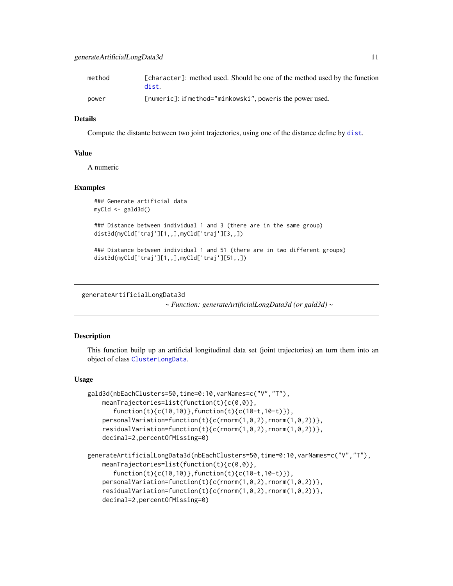<span id="page-10-0"></span>

| method | [character]: method used. Should be one of the method used by the function<br>dist. |
|--------|-------------------------------------------------------------------------------------|
| power  | [numeric]: if method="minkowski", power is the power used.                          |

#### Details

Compute the distante between two joint trajectories, using one of the distance define by [dist](#page-0-0).

#### Value

A numeric

# Examples

```
### Generate artificial data
myCld <- gald3d()
```
### Distance between individual 1 and 3 (there are in the same group) dist3d(myCld['traj'][1,,],myCld['traj'][3,,])

```
### Distance between individual 1 and 51 (there are in two different groups)
dist3d(myCld['traj'][1,,],myCld['traj'][51,,])
```
<span id="page-10-1"></span>generateArtificialLongData3d

*~ Function: generateArtificialLongData3d (or gald3d) ~*

#### <span id="page-10-2"></span>Description

This function builp up an artificial longitudinal data set (joint trajectories) an turn them into an object of class [ClusterLongData](#page-0-0).

#### Usage

```
gald3d(nbEachClusters=50,time=0:10,varNames=c("V","T"),
   meanTrajectories=list(function(t){c(0,0)},
       function(t){c(10,10)},function(t){c(10-t,10-t)}),
    personalVariation=function(t){c(rnorm(1,0,2),rnorm(1,0,2))},
    residualVariation=function(t){c(rnorm(1,0,2),rnorm(1,0,2))},
   decimal=2,percentOfMissing=0)
generateArtificialLongData3d(nbEachClusters=50,time=0:10,varNames=c("V","T"),
   meanTrajectories=list(function(t){c(0,0)},
       function(t){c(10,10)},function(t){c(10-t,10-t)}),
   personalVariation=function(t){c(rnorm(1,0,2),rnorm(1,0,2))},
    residualVariation=function(t){c(rnorm(1,0,2),rnorm(1,0,2))},
    decimal=2,percentOfMissing=0)
```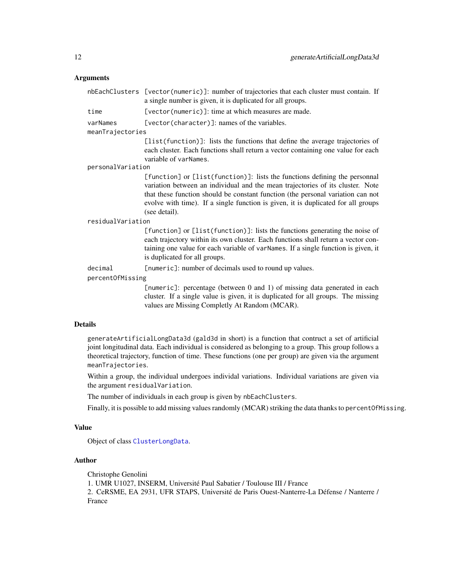# <span id="page-11-0"></span>Arguments

|                   | nbEachClusters [vector(numeric)]: number of trajectories that each cluster must contain. If<br>a single number is given, it is duplicated for all groups.                                                                                                                                                                                             |
|-------------------|-------------------------------------------------------------------------------------------------------------------------------------------------------------------------------------------------------------------------------------------------------------------------------------------------------------------------------------------------------|
| time              | [vector(numeric)]: time at which measures are made.                                                                                                                                                                                                                                                                                                   |
| varNames          | [vector(character)]: names of the variables.                                                                                                                                                                                                                                                                                                          |
| meanTrajectories  |                                                                                                                                                                                                                                                                                                                                                       |
|                   | [list(function)]: lists the functions that define the average trajectories of<br>each cluster. Each functions shall return a vector containing one value for each<br>variable of varNames.                                                                                                                                                            |
| personalVariation |                                                                                                                                                                                                                                                                                                                                                       |
|                   | [function] or [list(function)]: lists the functions defining the personnal<br>variation between an individual and the mean trajectories of its cluster. Note<br>that these function should be constant function (the personal variation can not<br>evolve with time). If a single function is given, it is duplicated for all groups<br>(see detail). |
| residualVariation |                                                                                                                                                                                                                                                                                                                                                       |
|                   | [function] or [list(function)]: lists the functions generating the noise of<br>each trajectory within its own cluster. Each functions shall return a vector con-<br>taining one value for each variable of varNames. If a single function is given, it<br>is duplicated for all groups.                                                               |
| decimal           | [numeric]: number of decimals used to round up values.                                                                                                                                                                                                                                                                                                |
| percentOfMissing  |                                                                                                                                                                                                                                                                                                                                                       |
|                   | [numeric]: percentage (between 0 and 1) of missing data generated in each<br>cluster. If a single value is given, it is duplicated for all groups. The missing<br>values are Missing Completly At Random (MCAR).                                                                                                                                      |
|                   |                                                                                                                                                                                                                                                                                                                                                       |

#### Details

generateArtificialLongData3d (gald3d in short) is a function that contruct a set of artificial joint longitudinal data. Each individual is considered as belonging to a group. This group follows a theoretical trajectory, function of time. These functions (one per group) are given via the argument meanTrajectories.

Within a group, the individual undergoes individal variations. Individual variations are given via the argument residualVariation.

The number of individuals in each group is given by nbEachClusters.

Finally, it is possible to add missing values randomly (MCAR) striking the data thanks to percent Of Missing.

# Value

Object of class [ClusterLongData](#page-0-0).

# Author

Christophe Genolini 1. UMR U1027, INSERM, Université Paul Sabatier / Toulouse III / France 2. CeRSME, EA 2931, UFR STAPS, Université de Paris Ouest-Nanterre-La Défense / Nanterre / France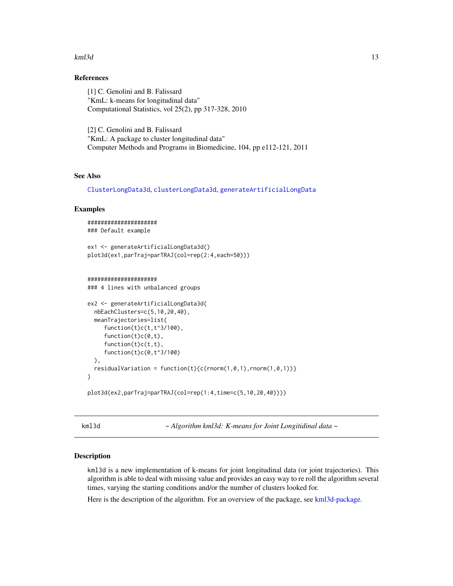#### <span id="page-12-0"></span> $km13d$  13

# References

[1] C. Genolini and B. Falissard "KmL: k-means for longitudinal data" Computational Statistics, vol 25(2), pp 317-328, 2010

[2] C. Genolini and B. Falissard "KmL: A package to cluster longitudinal data" Computer Methods and Programs in Biomedicine, 104, pp e112-121, 2011

# See Also

[ClusterLongData3d](#page-7-1), [clusterLongData3d](#page-6-1), [generateArtificialLongData](#page-0-0)

#### Examples

```
#####################
### Default example
ex1 <- generateArtificialLongData3d()
plot3d(ex1,parTraj=parTRAJ(col=rep(2:4,each=50)))
```
#### #####################

### 4 lines with unbalanced groups

```
ex2 <- generateArtificialLongData3d(
 nbEachClusters=c(5,10,20,40),
 meanTrajectories=list(
    function(t)c(t,t^3/100),
     function(t)c(0,t),
    function(t)c(t,t),
     function(t)c(0,t^3/100)
 ),
 residualVariation = function(t){c(rnorm(1,0,1),rnorm(1,0,1))}
)
plot3d(ex2,parTraj=parTRAJ(col=rep(1:4,time=c(5,10,20,40))))
```
<span id="page-12-1"></span>kml3d *~ Algorithm kml3d: K-means for Joint Longitidinal data ~*

# Description

kml3d is a new implementation of k-means for joint longitudinal data (or joint trajectories). This algorithm is able to deal with missing value and provides an easy way to re roll the algorithm several times, varying the starting conditions and/or the number of clusters looked for.

Here is the description of the algorithm. For an overview of the package, see [kml3d-package.](#page-1-1)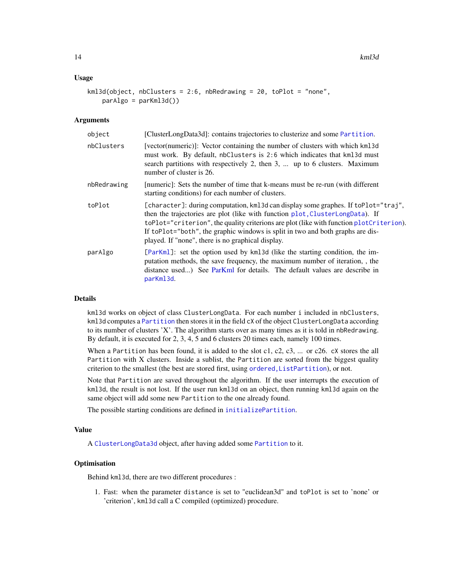#### <span id="page-13-0"></span>Usage

```
km13d(object, nbClusters = 2:6, nbRedrawing = 20, toPlot = "none",parAlgo = parKml3d())
```
#### Arguments

| object      | [ClusterLongData3d]: contains trajectories to clusterize and some Partition.                                                                                                                                                                                                                                                                                                                           |
|-------------|--------------------------------------------------------------------------------------------------------------------------------------------------------------------------------------------------------------------------------------------------------------------------------------------------------------------------------------------------------------------------------------------------------|
| nbClusters  | [vector(numeric)]: Vector containing the number of clusters with which kml3d<br>must work. By default, nbClusters is 2:6 which indicates that kml3d must<br>search partitions with respectively 2, then 3,  up to 6 clusters. Maximum<br>number of cluster is 26.                                                                                                                                      |
| nbRedrawing | [numeric]: Sets the number of time that k-means must be re-run (with different<br>starting conditions) for each number of clusters.                                                                                                                                                                                                                                                                    |
| toPlot      | [character]: during computation, kml3d can display some graphes. If toPlot="traj",<br>then the trajectories are plot (like with function plot, ClusterLongData). If<br>toPlot="criterion", the quality criterions are plot (like with function plotCriterion).<br>If to Plot="both", the graphic windows is split in two and both graphs are dis-<br>played. If "none", there is no graphical display. |
| parAlgo     | [ParKm1]: set the option used by km13d (like the starting condition, the im-<br>putation methods, the save frequency, the maximum number of iteration, , the<br>distance used) See ParKml for details. The default values are describe in<br>parKml3d.                                                                                                                                                 |

### Details

kml3d works on object of class ClusterLongData. For each number i included in nbClusters, kml3d computes a [Partition](#page-0-0) then stores it in the field cX of the object ClusterLongData according to its number of clusters 'X'. The algorithm starts over as many times as it is told in nbRedrawing. By default, it is executed for 2, 3, 4, 5 and 6 clusters 20 times each, namely 100 times.

When a Partition has been found, it is added to the slot  $c1$ ,  $c2$ ,  $c3$ , ... or  $c26$ .  $cX$  stores the all Partition with X clusters. Inside a sublist, the Partition are sorted from the biggest quality criterion to the smallest (the best are stored first, using [ordered,ListPartition](#page-0-0)), or not.

Note that Partition are saved throughout the algorithm. If the user interrupts the execution of kml3d, the result is not lost. If the user run kml3d on an object, then running kml3d again on the same object will add some new Partition to the one already found.

The possible starting conditions are defined in [initializePartition](#page-0-0).

# Value

A [ClusterLongData3d](#page-7-1) object, after having added some [Partition](#page-0-0) to it.

# **Optimisation**

Behind kml3d, there are two different procedures :

1. Fast: when the parameter distance is set to "euclidean3d" and toPlot is set to 'none' or 'criterion', kml3d call a C compiled (optimized) procedure.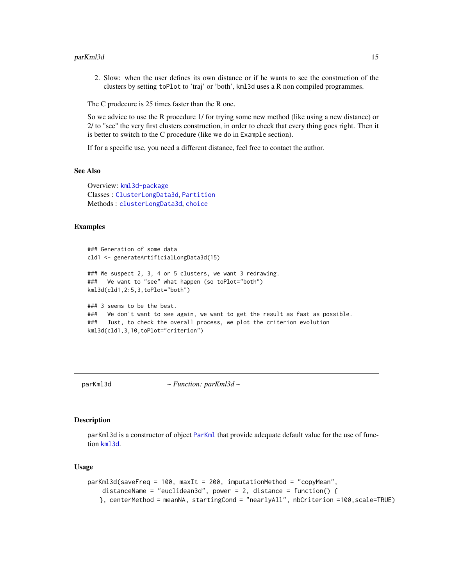#### <span id="page-14-0"></span>parKml3d 15

2. Slow: when the user defines its own distance or if he wants to see the construction of the clusters by setting toPlot to 'traj' or 'both', kml3d uses a R non compiled programmes.

The C prodecure is 25 times faster than the R one.

So we advice to use the R procedure 1/ for trying some new method (like using a new distance) or 2/ to "see" the very first clusters construction, in order to check that every thing goes right. Then it is better to switch to the C procedure (like we do in Example section).

If for a specific use, you need a different distance, feel free to contact the author.

# See Also

Overview: [kml3d-package](#page-1-1) Classes : [ClusterLongData3d](#page-7-1), [Partition](#page-0-0) Methods : [clusterLongData3d](#page-6-1), [choice](#page-0-0)

#### Examples

```
### Generation of some data
cld1 <- generateArtificialLongData3d(15)
### We suspect 2, 3, 4 or 5 clusters, we want 3 redrawing.
### We want to "see" what happen (so toPlot="both")
kml3d(cld1,2:5,3,toPlot="both")
### 3 seems to be the best.
### We don't want to see again, we want to get the result as fast as possible.
### Just, to check the overall process, we plot the criterion evolution
kml3d(cld1,3,10,toPlot="criterion")
```
<span id="page-14-1"></span>

parKml3d *~ Function: parKml3d ~*

#### **Description**

parKml3d is a constructor of object [ParKml](#page-0-0) that provide adequate default value for the use of function [kml3d](#page-12-1).

#### Usage

```
parKml3d(saveFreq = 100, maxIt = 200, imputationMethod = "copyMean",
   distanceName = "euclidean3d", power = 2, distance = function() {
   }, centerMethod = meanNA, startingCond = "nearlyAll", nbCriterion =100,scale=TRUE)
```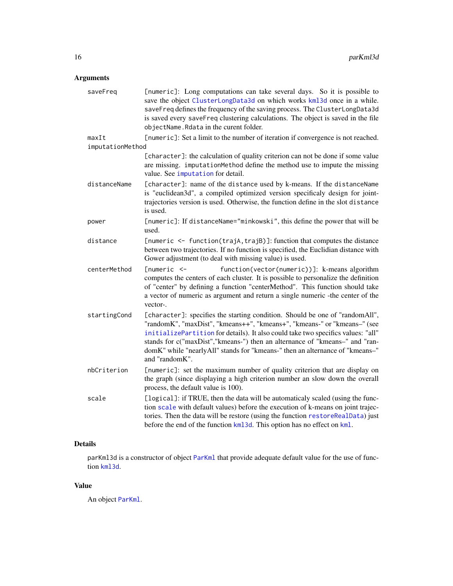# <span id="page-15-0"></span>Arguments

| saveFreq                  | [numeric]: Long computations can take several days. So it is possible to<br>save the object ClusterLongData3d on which works kml3d once in a while.<br>saveFreq defines the frequency of the saving process. The ClusterLongData3d<br>is saved every saveFreq clustering calculations. The object is saved in the file<br>objectName. Rdata in the curent folder.                                                             |
|---------------------------|-------------------------------------------------------------------------------------------------------------------------------------------------------------------------------------------------------------------------------------------------------------------------------------------------------------------------------------------------------------------------------------------------------------------------------|
| maxIt<br>imputationMethod | [numeric]: Set a limit to the number of iteration if convergence is not reached.                                                                                                                                                                                                                                                                                                                                              |
|                           | [character]: the calculation of quality criterion can not be done if some value<br>are missing. imputationMethod define the method use to impute the missing<br>value. See imputation for detail.                                                                                                                                                                                                                             |
| distanceName              | [character]: name of the distance used by k-means. If the distanceName<br>is "euclidean3d", a compiled optimized version specificaly design for joint-<br>trajectories version is used. Otherwise, the function define in the slot distance<br>is used.                                                                                                                                                                       |
| power                     | [numeric]: If distanceName="minkowski", this define the power that will be<br>used.                                                                                                                                                                                                                                                                                                                                           |
| distance                  | [numeric <- function(trajA, trajB)]: function that computes the distance<br>between two trajectories. If no function is specified, the Euclidian distance with<br>Gower adjustment (to deal with missing value) is used.                                                                                                                                                                                                      |
| centerMethod              | $funmeric < -$<br>function(vector(numeric))]: k-means algorithm<br>computes the centers of each cluster. It is possible to personalize the definition<br>of "center" by defining a function "centerMethod". This function should take<br>a vector of numeric as argument and return a single numeric -the center of the<br>vector-.                                                                                           |
| startingCond              | [character]: specifies the starting condition. Should be one of "randomAll",<br>"randomK", "maxDist", "kmeans++", "kmeans+", "kmeans-" or "kmeans-" (see<br>initializePartition for details). It also could take two specifics values: "all"<br>stands for c("maxDist","kmeans-") then an alternance of "kmeans-" and "ran-<br>domK" while "nearlyAll" stands for "kmeans-" then an alternance of "kmeans-"<br>and "randomK". |
| nbCriterion               | [numeric]: set the maximum number of quality criterion that are display on<br>the graph (since displaying a high criterion number an slow down the overall<br>process, the default value is 100).                                                                                                                                                                                                                             |
| scale                     | [logical]: if TRUE, then the data will be automaticaly scaled (using the func-<br>tion scale with default values) before the execution of k-means on joint trajec-<br>tories. Then the data will be restore (using the function restoreRealData) just<br>before the end of the function kml3d. This option has no effect on kml.                                                                                              |

# Details

parKml3d is a constructor of object [ParKml](#page-0-0) that provide adequate default value for the use of function [kml3d](#page-12-1).

# Value

An object [ParKml](#page-0-0).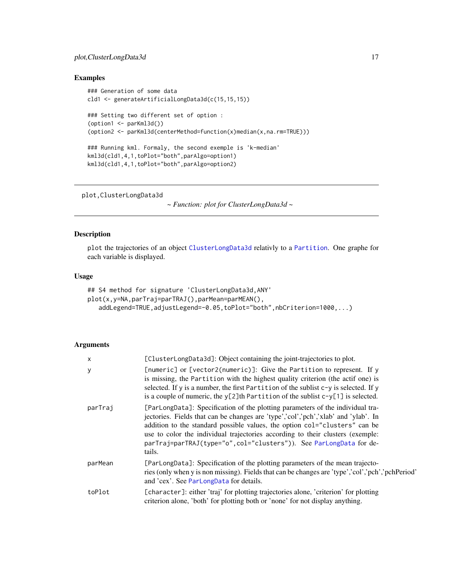# <span id="page-16-0"></span>plot, ClusterLongData3d 17

# Examples

```
### Generation of some data
cld1 <- generateArtificialLongData3d(c(15,15,15))
### Setting two different set of option :
(option1 <- parKml3d()(option2 <- parKml3d(centerMethod=function(x)median(x,na.rm=TRUE)))
### Running kml. Formaly, the second exemple is 'k-median'
kml3d(cld1,4,1,toPlot="both",parAlgo=option1)
kml3d(cld1,4,1,toPlot="both",parAlgo=option2)
```

```
plot,ClusterLongData3d
```
*~ Function: plot for ClusterLongData3d ~*

#### Description

plot the trajectories of an object [ClusterLongData3d](#page-7-1) relativly to a [Partition](#page-0-0). One graphe for each variable is displayed.

# Usage

```
## S4 method for signature 'ClusterLongData3d,ANY'
plot(x,y=NA,parTraj=parTRAJ(),parMean=parMEAN(),
   addLegend=TRUE,adjustLegend=-0.05,toPlot="both",nbCriterion=1000,...)
```
## Arguments

| $\times$ | [ClusterLongData3d]: Object containing the joint-trajectories to plot.                                                                                                                                                                                                                                                                                                                                                |
|----------|-----------------------------------------------------------------------------------------------------------------------------------------------------------------------------------------------------------------------------------------------------------------------------------------------------------------------------------------------------------------------------------------------------------------------|
| y        | [numeric] or [vector2(numeric)]: Give the Partition to represent. If y<br>is missing, the Partition with the highest quality criterion (the actif one) is<br>selected. If y is a number, the first Partition of the sublist $c-y$ is selected. If y<br>is a couple of numeric, the $y[2]$ th Partition of the sublist $c-y[1]$ is selected.                                                                           |
| parTraj  | [ParLongData]: Specification of the plotting parameters of the individual tra-<br>jectories. Fields that can be changes are 'type','col','pch','xlab' and 'ylab'. In<br>addition to the standard possible values, the option col="clusters" can be<br>use to color the individual trajectories according to their clusters (exemple:<br>parTraj=parTRAJ(type="o", col="clusters")). See ParLongData for de-<br>tails. |
| parMean  | [ParLongData]: Specification of the plotting parameters of the mean trajecto-<br>ries (only when y is non missing). Fields that can be changes are 'type','col','pch','pchPeriod'<br>and 'cex'. See ParLongData for details.                                                                                                                                                                                          |
| toPlot   | [character]: either 'traj' for plotting trajectories alone, 'criterion' for plotting<br>criterion alone, 'both' for plotting both or 'none' for not display anything.                                                                                                                                                                                                                                                 |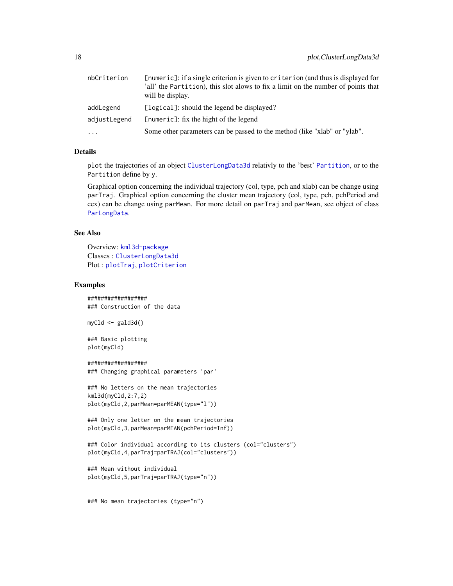<span id="page-17-0"></span>

| nbCriterion  | [numeric]: if a single criterion is given to criterion (and thus is displayed for<br>'all' the Partition), this slot alows to fix a limit on the number of points that<br>will be display. |
|--------------|--------------------------------------------------------------------------------------------------------------------------------------------------------------------------------------------|
| addLegend    | [logical]: should the legend be displayed?                                                                                                                                                 |
| adjustLegend | [numeric]: fix the hight of the legend                                                                                                                                                     |
| $\ddotsc$    | Some other parameters can be passed to the method (like "xlab" or "ylab".                                                                                                                  |

# Details

plot the trajectories of an object [ClusterLongData3d](#page-7-1) relativly to the 'best' [Partition](#page-0-0), or to the Partition define by y.

Graphical option concerning the individual trajectory (col, type, pch and xlab) can be change using parTraj. Graphical option concerning the cluster mean trajectory (col, type, pch, pchPeriod and cex) can be change using parMean. For more detail on parTraj and parMean, see object of class [ParLongData](#page-0-0).

# See Also

Overview: [kml3d-package](#page-1-1) Classes : [ClusterLongData3d](#page-7-1) Plot : [plotTraj](#page-0-0), [plotCriterion](#page-0-0)

#### Examples

################## ### Construction of the data

myCld <- gald3d()

### Basic plotting plot(myCld)

```
##################
```
### Changing graphical parameters 'par'

```
### No letters on the mean trajectories
kml3d(myCld,2:7,2)
plot(myCld,2,parMean=parMEAN(type="l"))
```
### Only one letter on the mean trajectories plot(myCld,3,parMean=parMEAN(pchPeriod=Inf))

```
### Color individual according to its clusters (col="clusters")
plot(myCld,4,parTraj=parTRAJ(col="clusters"))
```

```
### Mean without individual
plot(myCld,5,parTraj=parTRAJ(type="n"))
```
### No mean trajectories (type="n")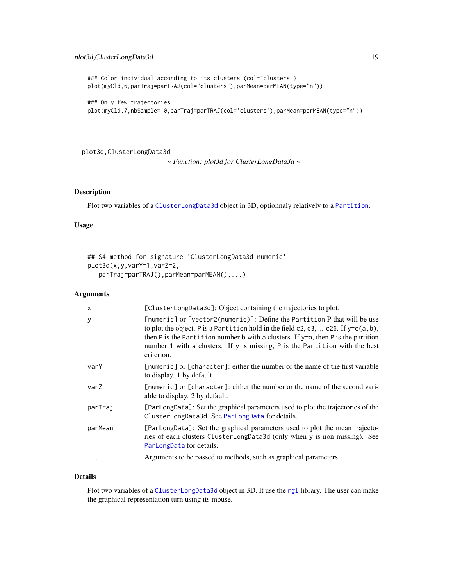```
### Color individual according to its clusters (col="clusters")
plot(myCld,6,parTraj=parTRAJ(col="clusters"),parMean=parMEAN(type="n"))
```

```
### Only few trajectories
plot(myCld,7,nbSample=10,parTraj=parTRAJ(col='clusters'),parMean=parMEAN(type="n"))
```
plot3d,ClusterLongData3d

```
~ Function: plot3d for ClusterLongData3d ~
```
# <span id="page-18-1"></span>Description

Plot two variables of a [ClusterLongData3d](#page-7-1) object in 3D, optionnaly relatively to a [Partition](#page-0-0).

# Usage

```
## S4 method for signature 'ClusterLongData3d,numeric'
plot3d(x,y,varY=1,varZ=2,
   parTraj=parTRAJ(),parMean=parMEAN(),...)
```
# Arguments

| $\times$ | [ClusterLongData3d]: Object containing the trajectories to plot.                                                                                                                                                                                                                                                                                            |
|----------|-------------------------------------------------------------------------------------------------------------------------------------------------------------------------------------------------------------------------------------------------------------------------------------------------------------------------------------------------------------|
| y        | [numeric] or [vector2(numeric)]: Define the Partition P that will be use<br>to plot the object. P is a Partition hold in the field c2, c3,  c26. If $y=c(a,b)$ ,<br>then $P$ is the Partition number $b$ with a clusters. If $y=a$ , then $P$ is the partition<br>number 1 with a clusters. If y is missing, P is the Partition with the best<br>criterion. |
| varY     | [numeric] or [character]: either the number or the name of the first variable<br>to display. 1 by default.                                                                                                                                                                                                                                                  |
| varZ     | [numeric] or [character]: either the number or the name of the second vari-<br>able to display. 2 by default.                                                                                                                                                                                                                                               |
| parTraj  | [ParLongData]: Set the graphical parameters used to plot the trajectories of the<br>ClusterLongData3d. See ParLongData for details.                                                                                                                                                                                                                         |
| parMean  | [ParLongData]: Set the graphical parameters used to plot the mean trajecto-<br>ries of each clusters ClusterLongData3d (only when y is non missing). See<br>ParLongData for details.                                                                                                                                                                        |
| $\cdots$ | Arguments to be passed to methods, such as graphical parameters.                                                                                                                                                                                                                                                                                            |

# Details

Plot two variables of a [ClusterLongData3d](#page-7-1) object in 3D. It use the [rgl](#page-0-0) library. The user can make the graphical representation turn using its mouse.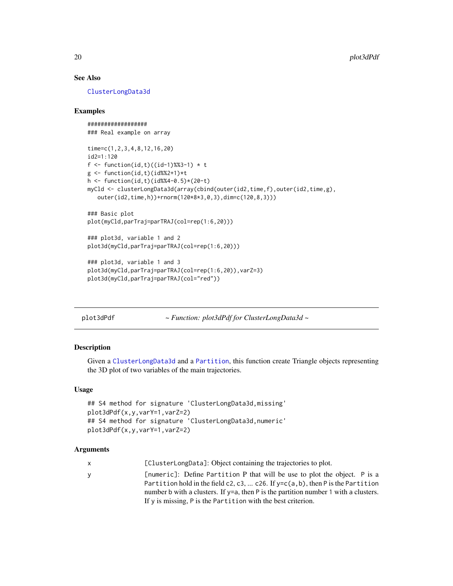# See Also

[ClusterLongData3d](#page-7-1)

# Examples

```
##################
### Real example on array
time=c(1,2,3,4,8,12,16,20)
id2=1:120
f <- function(id,t)((id-1)%%3-1) * t
g <- function(id,t)(id%%2+1)*t
h <- function(id,t)(id%%4-0.5)*(20-t)
myCld <- clusterLongData3d(array(cbind(outer(id2,time,f),outer(id2,time,g),
  outer(id2,time,h))+rnorm(120*8*3,0,3),dim=c(120,8,3)))
### Basic plot
plot(myCld,parTraj=parTRAJ(col=rep(1:6,20)))
### plot3d, variable 1 and 2
plot3d(myCld,parTraj=parTRAJ(col=rep(1:6,20)))
### plot3d, variable 1 and 3
plot3d(myCld,parTraj=parTRAJ(col=rep(1:6,20)),varZ=3)
plot3d(myCld,parTraj=parTRAJ(col="red"))
```
<span id="page-19-1"></span>plot3dPdf *~ Function: plot3dPdf for ClusterLongData3d ~*

# **Description**

Given a [ClusterLongData3d](#page-7-1) and a [Partition](#page-0-0), this function create Triangle objects representing the 3D plot of two variables of the main trajectories.

#### Usage

```
## S4 method for signature 'ClusterLongData3d,missing'
plot3dPdf(x,y,varY=1,varZ=2)
## S4 method for signature 'ClusterLongData3d,numeric'
plot3dPdf(x,y,varY=1,varZ=2)
```
# Arguments

x [ClusterLongData]: Object containing the trajectories to plot.

y [numeric]: Define Partition P that will be use to plot the object. P is a Partition hold in the field c2, c3, ... c26. If y=c(a,b), then P is the Partition number b with a clusters. If y=a, then P is the partition number 1 with a clusters. If y is missing, P is the Partition with the best criterion.

<span id="page-19-0"></span>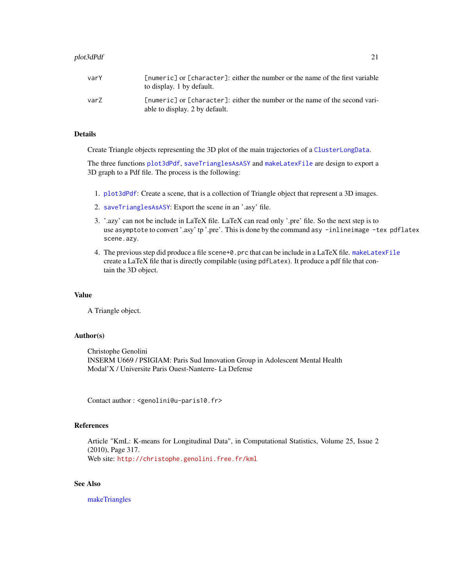## <span id="page-20-0"></span>plot3dPdf 21

# Details

Create Triangle objects representing the 3D plot of the main trajectories of a [ClusterLongData](#page-0-0).

The three functions [plot3dPdf](#page-19-1), [saveTrianglesAsASY](#page-0-0) and [makeLatexFile](#page-0-0) are design to export a 3D graph to a Pdf file. The process is the following:

- 1. [plot3dPdf](#page-19-1): Create a scene, that is a collection of Triangle object that represent a 3D images.
- 2. [saveTrianglesAsASY](#page-0-0): Export the scene in an '.asy' file.
- 3. '.azy' can not be include in LaTeX file. LaTeX can read only '.pre' file. So the next step is to use asymptote to convert '.asy' tp '.pre'. This is done by the command asy -inlineimage -tex pdflatex scene.azy.
- 4. The previous step did produce a file scene+0.prc that can be include in a LaTeX file. [makeLatexFile](#page-0-0) create a LaTeX file that is directly compilable (using pdfLatex). It produce a pdf file that contain the 3D object.

#### Value

A Triangle object.

#### Author(s)

Christophe Genolini INSERM U669 / PSIGIAM: Paris Sud Innovation Group in Adolescent Mental Health Modal'X / Universite Paris Ouest-Nanterre- La Defense

Contact author : <genolini@u-paris10.fr>

# References

Article "KmL: K-means for Longitudinal Data", in Computational Statistics, Volume 25, Issue 2 (2010), Page 317. Web site: <http://christophe.genolini.free.fr/kml>

# See Also

[makeTriangles](#page-0-0)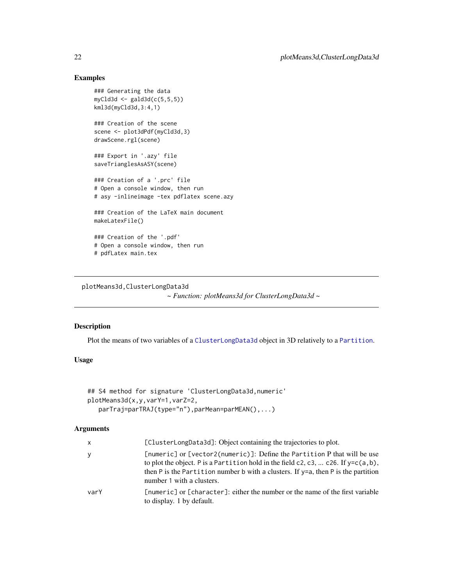# Examples

```
### Generating the data
myCld3d <- gald3d(c(5,5,5))
kml3d(myCld3d,3:4,1)
### Creation of the scene
scene <- plot3dPdf(myCld3d,3)
drawScene.rgl(scene)
### Export in '.azy' file
saveTrianglesAsASY(scene)
### Creation of a '.prc' file
# Open a console window, then run
# asy -inlineimage -tex pdflatex scene.azy
### Creation of the LaTeX main document
makeLatexFile()
### Creation of the '.pdf'
# Open a console window, then run
# pdfLatex main.tex
```
plotMeans3d,ClusterLongData3d

*~ Function: plotMeans3d for ClusterLongData3d ~*

# Description

Plot the means of two variables of a [ClusterLongData3d](#page-7-1) object in 3D relatively to a [Partition](#page-0-0).

# Usage

```
## S4 method for signature 'ClusterLongData3d,numeric'
plotMeans3d(x,y,varY=1,varZ=2,
   parTraj=parTRAJ(type="n"),parMean=parMEAN(),...)
```
# Arguments

| x    | [ClusterLongData3d]: Object containing the trajectories to plot.                                                                                                                                                                                                                          |
|------|-------------------------------------------------------------------------------------------------------------------------------------------------------------------------------------------------------------------------------------------------------------------------------------------|
| y    | [numeric] or [vector2(numeric)]: Define the Partition P that will be use<br>to plot the object. P is a Partition hold in the field c2, c3,  c26. If $y=c(a,b)$ ,<br>then $P$ is the Partition number b with a clusters. If $y=a$ , then $P$ is the partition<br>number 1 with a clusters. |
| varY | [numeric] or [character]: either the number or the name of the first variable<br>to display. 1 by default.                                                                                                                                                                                |

<span id="page-21-0"></span>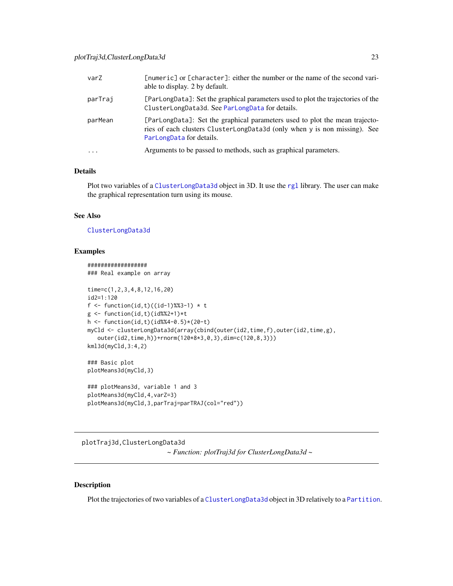<span id="page-22-0"></span>

| varZ     | [numeric] or [character]: either the number or the name of the second vari-<br>able to display. 2 by default.                                                                        |
|----------|--------------------------------------------------------------------------------------------------------------------------------------------------------------------------------------|
| parTraj  | [ParLongData]: Set the graphical parameters used to plot the trajectories of the<br>ClusterLongData3d. See ParLongData for details.                                                  |
| parMean  | [ParLongData]: Set the graphical parameters used to plot the mean trajecto-<br>ries of each clusters ClusterLongData3d (only when y is non missing). See<br>ParLongData for details. |
| $\cdots$ | Arguments to be passed to methods, such as graphical parameters.                                                                                                                     |

# Details

Plot two variables of a [ClusterLongData3d](#page-7-1) object in 3D. It use the [rgl](#page-0-0) library. The user can make the graphical representation turn using its mouse.

# See Also

### [ClusterLongData3d](#page-7-1)

#### Examples

```
##################
### Real example on array
time=c(1,2,3,4,8,12,16,20)
id2=1:120
f <- function(id,t)((id-1)%%3-1) * t
g \leftarrow function(id, t)(id\%2+1)*th <- function(id,t)(id%%4-0.5)*(20-t)
myCld <- clusterLongData3d(array(cbind(outer(id2,time,f),outer(id2,time,g),
   outer(id2,time,h))+rnorm(120*8*3,0,3),dim=c(120,8,3)))
kml3d(myCld,3:4,2)
### Basic plot
plotMeans3d(myCld,3)
### plotMeans3d, variable 1 and 3
plotMeans3d(myCld,4,varZ=3)
plotMeans3d(myCld,3,parTraj=parTRAJ(col="red"))
```
plotTraj3d,ClusterLongData3d *~ Function: plotTraj3d for ClusterLongData3d ~*

# Description

Plot the trajectories of two variables of a [ClusterLongData3d](#page-7-1) object in 3D relatively to a [Partition](#page-0-0).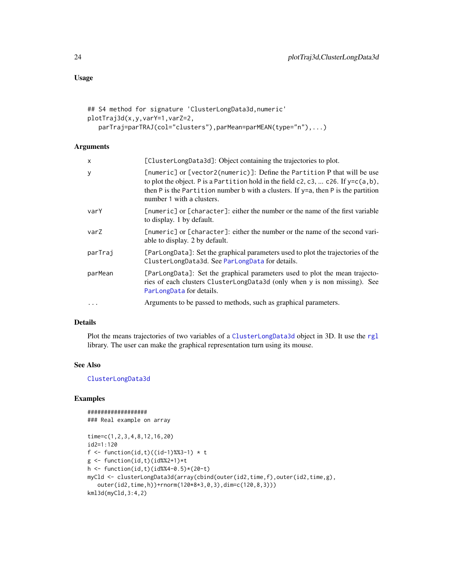# <span id="page-23-0"></span>Usage

```
## S4 method for signature 'ClusterLongData3d,numeric'
plotTraj3d(x,y,varY=1,varZ=2,
   parTraj=parTRAJ(col="clusters"),parMean=parMEAN(type="n"),...)
```
# Arguments

| $\mathsf{x}$ | [ClusterLongData3d]: Object containing the trajectories to plot.                                                                                                                                                                                                                             |
|--------------|----------------------------------------------------------------------------------------------------------------------------------------------------------------------------------------------------------------------------------------------------------------------------------------------|
| У            | [numeric] or [vector2(numeric)]: Define the Partition P that will be use<br>to plot the object. P is a Partition hold in the field c2, c3,  c26. If $y=c(a, b)$ ,<br>then $P$ is the Partition number $b$ with a clusters. If $y=a$ , then $P$ is the partition<br>number 1 with a clusters. |
| varY         | [numeric] or [character]: either the number or the name of the first variable<br>to display. 1 by default.                                                                                                                                                                                   |
| varZ         | [numeric] or [character]: either the number or the name of the second vari-<br>able to display. 2 by default.                                                                                                                                                                                |
| parTraj      | [ParLongData]: Set the graphical parameters used to plot the trajectories of the<br>ClusterLongData3d. See ParLongData for details.                                                                                                                                                          |
| parMean      | [ParLongData]: Set the graphical parameters used to plot the mean trajecto-<br>ries of each clusters ClusterLongData3d (only when y is non missing). See<br>ParLongData for details.                                                                                                         |
| $\cdots$     | Arguments to be passed to methods, such as graphical parameters.                                                                                                                                                                                                                             |

# Details

Plot the means trajectories of two variables of a [ClusterLongData3d](#page-7-1) object in 3D. It use the [rgl](#page-0-0) library. The user can make the graphical representation turn using its mouse.

# See Also

[ClusterLongData3d](#page-7-1)

# Examples

```
##################
### Real example on array
```

```
time=c(1,2,3,4,8,12,16,20)
id2=1:120
f <- function(id,t)((id-1)%%3-1) * t
g \leftarrow function(id, t)(id\%2+1)*th <- function(id,t)(id%%4-0.5)*(20-t)
myCld <- clusterLongData3d(array(cbind(outer(id2,time,f),outer(id2,time,g),
  outer(id2,time,h))+rnorm(120*8*3,0,3),dim=c(120,8,3)))
kml3d(myCld,3:4,2)
```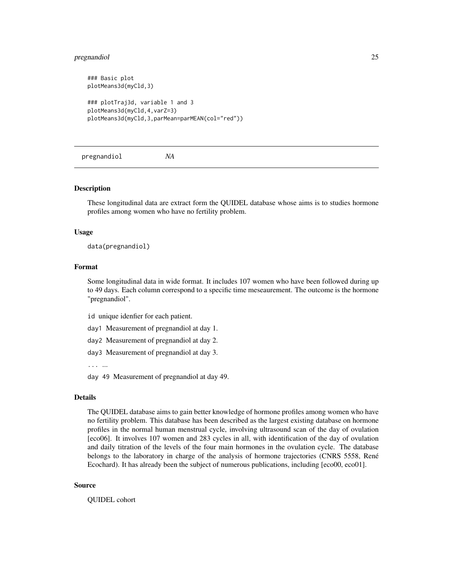#### <span id="page-24-0"></span>pregnandiol 25

```
### Basic plot
plotMeans3d(myCld,3)
### plotTraj3d, variable 1 and 3
plotMeans3d(myCld,4,varZ=3)
plotMeans3d(myCld,3,parMean=parMEAN(col="red"))
```
pregnandiol *NA*

#### **Description**

These longitudinal data are extract form the QUIDEL database whose aims is to studies hormone profiles among women who have no fertility problem.

#### Usage

data(pregnandiol)

#### Format

Some longitudinal data in wide format. It includes 107 women who have been followed during up to 49 days. Each column correspond to a specific time meseaurement. The outcome is the hormone "pregnandiol".

id unique idenfier for each patient.

- day1 Measurement of pregnandiol at day 1.
- day2 Measurement of pregnandiol at day 2.

day3 Measurement of pregnandiol at day 3.

... ...

day 49 Measurement of pregnandiol at day 49.

#### Details

The QUIDEL database aims to gain better knowledge of hormone profiles among women who have no fertility problem. This database has been described as the largest existing database on hormone profiles in the normal human menstrual cycle, involving ultrasound scan of the day of ovulation [eco06]. It involves 107 women and 283 cycles in all, with identification of the day of ovulation and daily titration of the levels of the four main hormones in the ovulation cycle. The database belongs to the laboratory in charge of the analysis of hormone trajectories (CNRS 5558, René Ecochard). It has already been the subject of numerous publications, including [eco00, eco01].

#### Source

QUIDEL cohort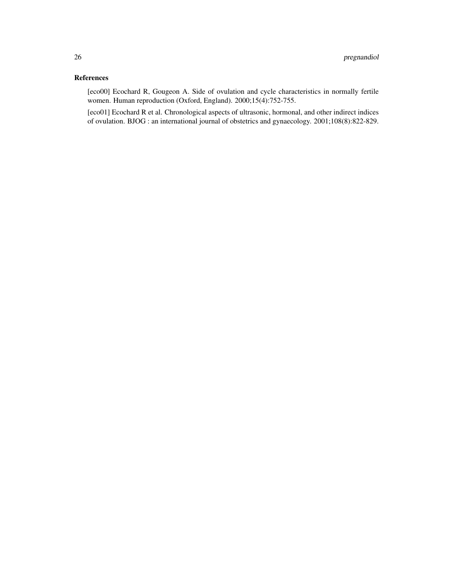# References

[eco00] Ecochard R, Gougeon A. Side of ovulation and cycle characteristics in normally fertile women. Human reproduction (Oxford, England). 2000;15(4):752-755.

[eco01] Ecochard R et al. Chronological aspects of ultrasonic, hormonal, and other indirect indices of ovulation. BJOG : an international journal of obstetrics and gynaecology. 2001;108(8):822-829.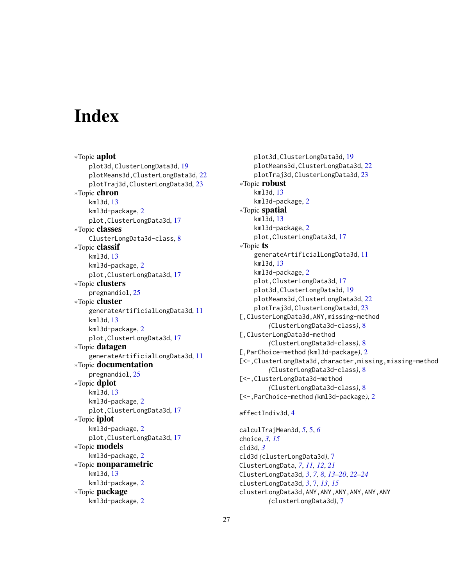# <span id="page-26-0"></span>**Index**

∗Topic aplot plot3d,ClusterLongData3d, [19](#page-18-0) plotMeans3d,ClusterLongData3d, [22](#page-21-0) plotTraj3d,ClusterLongData3d, [23](#page-22-0) ∗Topic chron kml3d, [13](#page-12-0) kml3d-package, [2](#page-1-0) plot,ClusterLongData3d, [17](#page-16-0) ∗Topic classes ClusterLongData3d-class, [8](#page-7-0) ∗Topic classif kml3d, [13](#page-12-0) kml3d-package, [2](#page-1-0) plot,ClusterLongData3d, [17](#page-16-0) ∗Topic clusters pregnandiol, [25](#page-24-0) ∗Topic cluster generateArtificialLongData3d, [11](#page-10-0) kml3d, [13](#page-12-0) kml3d-package, [2](#page-1-0) plot,ClusterLongData3d, [17](#page-16-0) ∗Topic datagen generateArtificialLongData3d, [11](#page-10-0) ∗Topic documentation pregnandiol, [25](#page-24-0) ∗Topic dplot kml3d, [13](#page-12-0) kml3d-package, [2](#page-1-0) plot,ClusterLongData3d, [17](#page-16-0) ∗Topic iplot kml3d-package, [2](#page-1-0) plot,ClusterLongData3d, [17](#page-16-0) ∗Topic models kml3d-package, [2](#page-1-0) ∗Topic nonparametric kml3d, [13](#page-12-0) kml3d-package, [2](#page-1-0) ∗Topic package kml3d-package, [2](#page-1-0)

plot3d,ClusterLongData3d, [19](#page-18-0) plotMeans3d,ClusterLongData3d, [22](#page-21-0) plotTraj3d,ClusterLongData3d, [23](#page-22-0) ∗Topic robust kml3d, [13](#page-12-0) kml3d-package, [2](#page-1-0) ∗Topic spatial kml3d, [13](#page-12-0) kml3d-package, [2](#page-1-0) plot,ClusterLongData3d, [17](#page-16-0) ∗Topic ts generateArtificialLongData3d, [11](#page-10-0) kml3d, [13](#page-12-0) kml3d-package, [2](#page-1-0) plot,ClusterLongData3d, [17](#page-16-0) plot3d,ClusterLongData3d, [19](#page-18-0) plotMeans3d,ClusterLongData3d, [22](#page-21-0) plotTraj3d,ClusterLongData3d, [23](#page-22-0) [,ClusterLongData3d,ANY,missing-method *(*ClusterLongData3d-class*)*, [8](#page-7-0) [,ClusterLongData3d-method *(*ClusterLongData3d-class*)*, [8](#page-7-0) [,ParChoice-method *(*kml3d-package*)*, [2](#page-1-0) [<-,ClusterLongData3d,character,missing,missing-method *(*ClusterLongData3d-class*)*, [8](#page-7-0) [<-,ClusterLongData3d-method *(*ClusterLongData3d-class*)*, [8](#page-7-0) [<-,ParChoice-method *(*kml3d-package*)*, [2](#page-1-0) affectIndiv3d, [4](#page-3-0)

calculTrajMean3d, *[5](#page-4-0)*, [5,](#page-4-0) *[6](#page-5-0)* choice, *[3](#page-2-0)*, *[15](#page-14-0)* cld3d, *[3](#page-2-0)* cld3d *(*clusterLongData3d*)*, [7](#page-6-0) ClusterLongData, *[7](#page-6-0)*, *[11,](#page-10-0) [12](#page-11-0)*, *[21](#page-20-0)* ClusterLongData3d, *[3](#page-2-0)*, *[7,](#page-6-0) [8](#page-7-0)*, *[13](#page-12-0)[–20](#page-19-0)*, *[22](#page-21-0)[–24](#page-23-0)* clusterLongData3d, *[3](#page-2-0)*, [7,](#page-6-0) *[13](#page-12-0)*, *[15](#page-14-0)* clusterLongData3d,ANY,ANY,ANY,ANY,ANY,ANY *(*clusterLongData3d*)*, [7](#page-6-0)